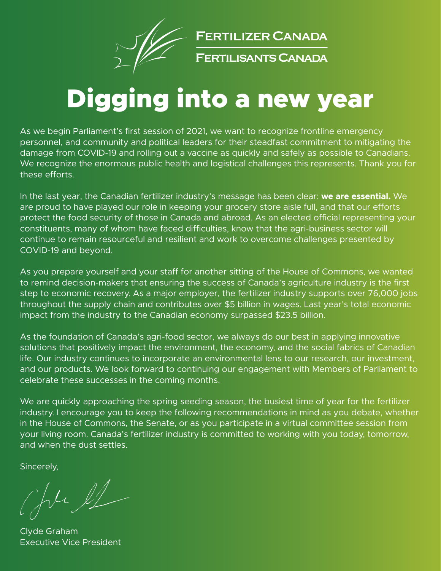

**FERTILIZER CANADA** 

FERTILISANTS CANADA

# Digging into a new year

As we begin Parliament's first session of 2021, we want to recognize frontline emergency personnel, and community and political leaders for their steadfast commitment to mitigating the damage from COVID-19 and rolling out a vaccine as quickly and safely as possible to Canadians. We recognize the enormous public health and logistical challenges this represents. Thank you for these efforts.

In the last year, the Canadian fertilizer industry's message has been clear: **we are essential.** We are proud to have played our role in keeping your grocery store aisle full, and that our efforts protect the food security of those in Canada and abroad. As an elected official representing your constituents, many of whom have faced difficulties, know that the agri-business sector will continue to remain resourceful and resilient and work to overcome challenges presented by COVID-19 and beyond.

As you prepare yourself and your staff for another sitting of the House of Commons, we wanted to remind decision-makers that ensuring the success of Canada's agriculture industry is the first step to economic recovery. As a major employer, the fertilizer industry supports over 76,000 jobs throughout the supply chain and contributes over \$5 billion in wages. Last year's total economic impact from the industry to the Canadian economy surpassed \$23.5 billion.

As the foundation of Canada's agri-food sector, we always do our best in applying innovative solutions that positively impact the environment, the economy, and the social fabrics of Canadian life. Our industry continues to incorporate an environmental lens to our research, our investment, and our products. We look forward to continuing our engagement with Members of Parliament to celebrate these successes in the coming months.

We are quickly approaching the spring seeding season, the busiest time of year for the fertilizer industry. I encourage you to keep the following recommendations in mind as you debate, whether in the House of Commons, the Senate, or as you participate in a virtual committee session from your living room. Canada's fertilizer industry is committed to working with you today, tomorrow, and when the dust settles.

Sincerely,

Ju et

Clyde Graham Executive Vice President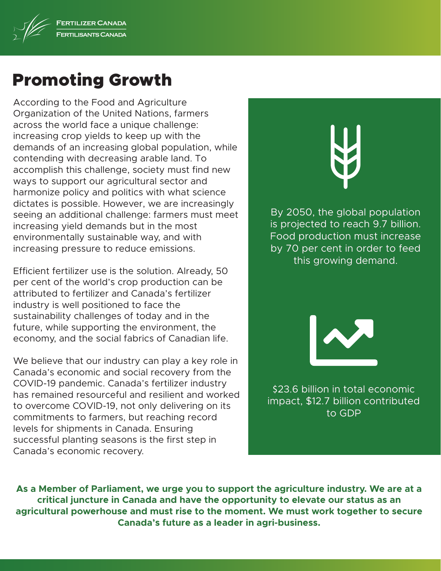

### Promoting Growth

According to the Food and Agriculture Organization of the United Nations, farmers across the world face a unique challenge: increasing crop yields to keep up with the demands of an increasing global population, while contending with decreasing arable land. To accomplish this challenge, society must find new ways to support our agricultural sector and harmonize policy and politics with what science dictates is possible. However, we are increasingly seeing an additional challenge: farmers must meet increasing yield demands but in the most environmentally sustainable way, and with increasing pressure to reduce emissions.

Efficient fertilizer use is the solution. Already, 50 per cent of the world's crop production can be attributed to fertilizer and Canada's fertilizer industry is well positioned to face the sustainability challenges of today and in the future, while supporting the environment, the economy, and the social fabrics of Canadian life.

We believe that our industry can play a key role in Canada's economic and social recovery from the COVID-19 pandemic. Canada's fertilizer industry has remained resourceful and resilient and worked to overcome COVID-19, not only delivering on its commitments to farmers, but reaching record levels for shipments in Canada. Ensuring successful planting seasons is the first step in Canada's economic recovery.

By 2050, the global population is projected to reach 9.7 billion. Food production must increase by 70 per cent in order to feed this growing demand.



\$23.6 billion in total economic impact, \$12.7 billion contributed to GDP

**As a Member of Parliament, we urge you to support the agriculture industry. We are at a critical juncture in Canada and have the opportunity to elevate our status as an agricultural powerhouse and must rise to the moment. We must work together to secure Canada's future as a leader in agri-business.**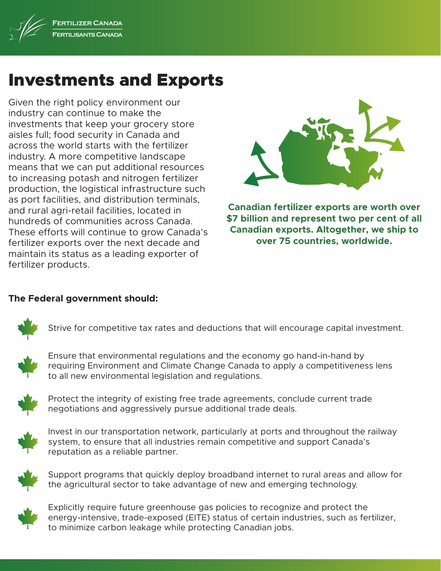

### Investments and Exports

Given the right policy environment our industry can continue to make the investments that keep your grocery store aisles full; food security in Canada and across the world starts with the fertilizer industry. A more competitive landscape means that we can put additional resources to increasing potash and nitrogen fertilizer production, the logistical infrastructure such as port facilities, and distribution terminals, and rural agri-retail facilities, located in hundreds of communities across Canada. These efforts will continue to grow Canada's fertilizer exports over the next decade and maintain its status as a leading exporter of fertilizer products.



**Canadian fertilizer exports are worth over \$7 billion and represent two per cent of all Canadian exports. Altogether, we ship to over 75 countries, worldwide.**

#### **The Federal government should:**



Strive for competitive tax rates and deductions that will encourage capital investment.



Ensure that environmental regulations and the economy go hand-in-hand by requiring Environment and Climate Change Canada to apply a competitiveness lens to all new environmental legislation and regulations.



Protect the integrity of existing free trade agreements, conclude current trade negotiations and aggressively pursue additional trade deals.



Invest in our transportation network, particularly at ports and throughout the railway system, to ensure that all industries remain competitive and support Canada's reputation as a reliable partner.



Support programs that quickly deploy broadband internet to rural areas and allow for the agricultural sector to take advantage of new and emerging technology.



Explicitly require future greenhouse gas policies to recognize and protect the energy-intensive, trade-exposed (EITE) status of certain industries, such as fertilizer, to minimize carbon leakage while protecting Canadian jobs.